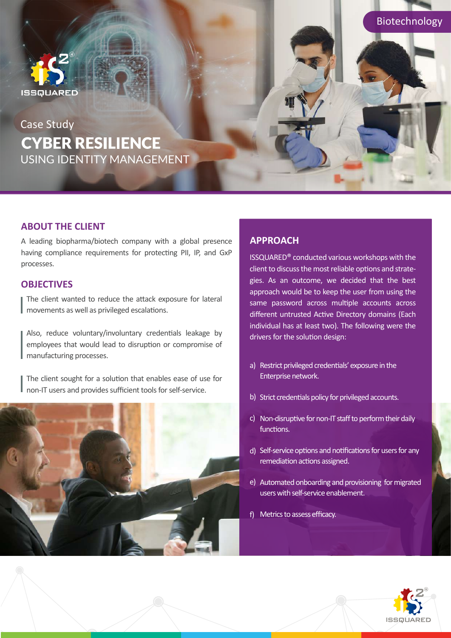

# Case Study**CYBER RESILIENCE** USING IDENTITY MANAGEMENT

## **ABOUT THE CLIENT**

A leading biopharma/biotech company with a global presence having compliance requirements for protecting PII, IP, and GxP processes.

### **OBJECTIVES**

The client wanted to reduce the attack exposure for lateral movements as well as privileged escalations.

Also, reduce voluntary/involuntary credentials leakage by employees that would lead to disruption or compromise of manufacturing processes.

The client sought for a solution that enables ease of use for non-IT users and provides sufficient tools for self-service.



## **APPROACH**

ISSQUARED® conducted various workshops with the client to discuss the most reliable options and strategies. As an outcome, we decided that the best approach would be to keep the user from using the same password across multiple accounts across different untrusted Active Directory domains (Each individual has at least two). The following were the drivers for the solution design:

- a) Restrict privileged credentials' exposure in the Enterprise network.
- b) Strict credentials policy for privileged accounts.
- c) Non-disruptive for non-IT staff to perform their daily functions.
- d) Self-service options and notifications for users for any remediation actions assigned.
- e) Automated onboarding and provisioning for migrated users with self-service enablement.
- Metrics to assess efficacy. f)



Biotechnology